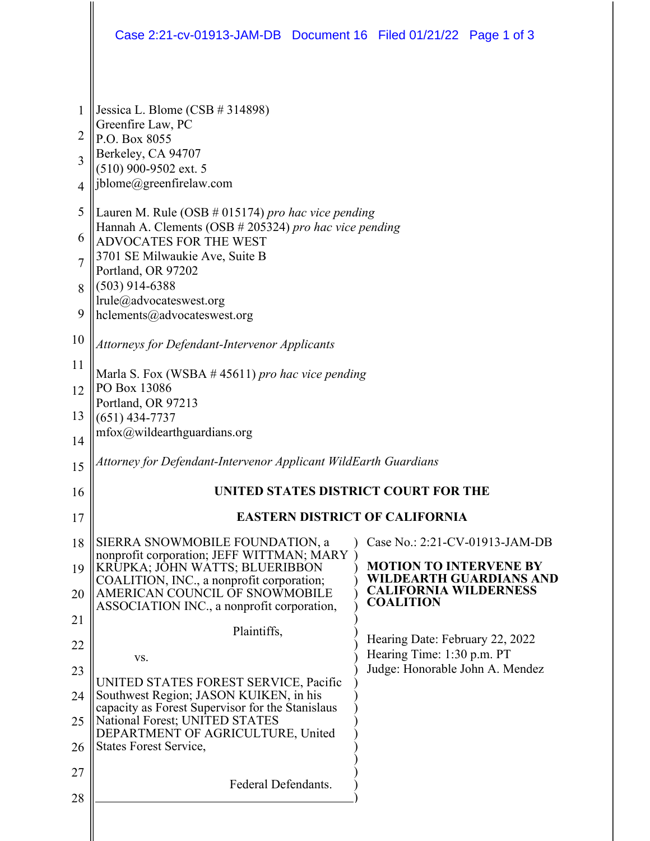|                | Case 2:21-cv-01913-JAM-DB Document 16 Filed 01/21/22 Page 1 of 3                                                          |  |                                                                 |  |  |  |
|----------------|---------------------------------------------------------------------------------------------------------------------------|--|-----------------------------------------------------------------|--|--|--|
| $\mathbf{1}$   | Jessica L. Blome (CSB $#314898$ )                                                                                         |  |                                                                 |  |  |  |
| 2              | Greenfire Law, PC<br>P.O. Box 8055                                                                                        |  |                                                                 |  |  |  |
| 3              | Berkeley, CA 94707                                                                                                        |  |                                                                 |  |  |  |
| $\overline{4}$ | $(510)$ 900-9502 ext. 5<br>jblome@greenfirelaw.com                                                                        |  |                                                                 |  |  |  |
| 5              | Lauren M. Rule (OSB $\#$ 015174) pro hac vice pending                                                                     |  |                                                                 |  |  |  |
| 6              | Hannah A. Clements (OSB # 205324) pro hac vice pending<br>ADVOCATES FOR THE WEST                                          |  |                                                                 |  |  |  |
| $\overline{7}$ | 3701 SE Milwaukie Ave, Suite B                                                                                            |  |                                                                 |  |  |  |
| 8              | Portland, OR 97202<br>$(503)$ 914-6388                                                                                    |  |                                                                 |  |  |  |
| 9              | lrule@advocateswest.org<br>hclements@advocateswest.org                                                                    |  |                                                                 |  |  |  |
| 10             | <b>Attorneys for Defendant-Intervenor Applicants</b>                                                                      |  |                                                                 |  |  |  |
| 11             | Marla S. Fox (WSBA $#$ 45611) pro hac vice pending<br>PO Box 13086<br>Portland, OR 97213<br>$(651)$ 434-7737              |  |                                                                 |  |  |  |
| 12             |                                                                                                                           |  |                                                                 |  |  |  |
| 13             |                                                                                                                           |  |                                                                 |  |  |  |
| 14             | $mfox@$ wildearthguardians.org                                                                                            |  |                                                                 |  |  |  |
| 15             | Attorney for Defendant-Intervenor Applicant WildEarth Guardians                                                           |  |                                                                 |  |  |  |
| 16             | UNITED STATES DISTRICT COURT FOR THE                                                                                      |  |                                                                 |  |  |  |
| 17             | <b>EASTERN DISTRICT OF CALIFORNIA</b>                                                                                     |  |                                                                 |  |  |  |
| 18             | SIERRA SNOWMOBILE FOUNDATION, a                                                                                           |  | Case No.: 2:21-CV-01913-JAM-DB                                  |  |  |  |
| 19             | nonprofit corporation; JEFF WITTMAN; MARY<br>KRUPKA; JOHN WATTS; BLUERIBBON                                               |  | <b>MOTION TO INTERVENE BY</b><br><b>WILDEARTH GUARDIANS AND</b> |  |  |  |
| 20             | COALITION, INC., a nonprofit corporation;<br>AMERICAN COUNCIL OF SNOWMOBILE<br>ASSOCIATION INC., a nonprofit corporation, |  | <b>CALIFORNIA WILDERNESS</b><br><b>COALITION</b>                |  |  |  |
| 21             | Plaintiffs,                                                                                                               |  |                                                                 |  |  |  |
| 22             |                                                                                                                           |  | Hearing Date: February 22, 2022<br>Hearing Time: 1:30 p.m. PT   |  |  |  |
| 23             | VS.<br>UNITED STATES FOREST SERVICE, Pacific                                                                              |  | Judge: Honorable John A. Mendez                                 |  |  |  |
| 24             | Southwest Region; JASON KUIKEN, in his<br>capacity as Forest Supervisor for the Stanislaus                                |  |                                                                 |  |  |  |
| 25             | National Forest; UNITED STATES<br>DEPARTMENT OF AGRICULTURE, United                                                       |  |                                                                 |  |  |  |
| 26             | <b>States Forest Service,</b>                                                                                             |  |                                                                 |  |  |  |
| 27             | Federal Defendants.                                                                                                       |  |                                                                 |  |  |  |
| 28             |                                                                                                                           |  |                                                                 |  |  |  |
|                |                                                                                                                           |  |                                                                 |  |  |  |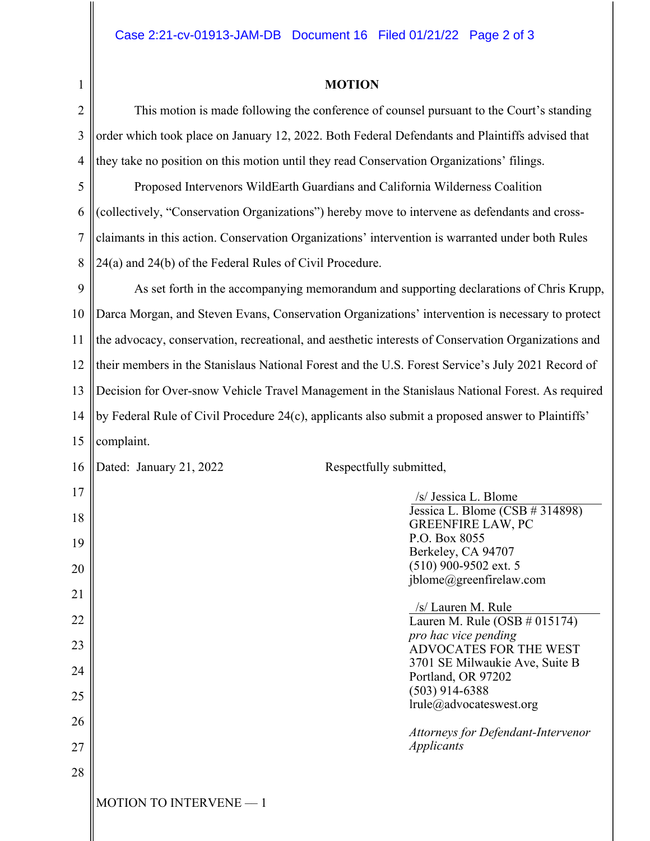1

## **MOTION**

2 3 4 This motion is made following the conference of counsel pursuant to the Court's standing order which took place on January 12, 2022. Both Federal Defendants and Plaintiffs advised that they take no position on this motion until they read Conservation Organizations' filings.

5 6 7 8 Proposed Intervenors WildEarth Guardians and California Wilderness Coalition (collectively, "Conservation Organizations") hereby move to intervene as defendants and crossclaimants in this action. Conservation Organizations' intervention is warranted under both Rules 24(a) and 24(b) of the Federal Rules of Civil Procedure.

9 10 11 12 13 14 15 As set forth in the accompanying memorandum and supporting declarations of Chris Krupp, Darca Morgan, and Steven Evans, Conservation Organizations' intervention is necessary to protect the advocacy, conservation, recreational, and aesthetic interests of Conservation Organizations and their members in the Stanislaus National Forest and the U.S. Forest Service's July 2021 Record of Decision for Over-snow Vehicle Travel Management in the Stanislaus National Forest. As required by Federal Rule of Civil Procedure 24(c), applicants also submit a proposed answer to Plaintiffs' complaint.

| 16 | Respectfully submitted,<br>Dated: January 21, 2022 |                                                               |
|----|----------------------------------------------------|---------------------------------------------------------------|
| 17 |                                                    | /s/ Jessica L. Blome                                          |
| 18 |                                                    | Jessica L. Blome (CSB $#314898$ )<br><b>GREENFIRE LAW, PC</b> |
| 19 |                                                    | P.O. Box 8055<br>Berkeley, CA 94707                           |
| 20 |                                                    | $(510)$ 900-9502 ext. 5                                       |
| 21 |                                                    | jblome@greenfirelaw.com                                       |
| 22 |                                                    | /s/ Lauren M. Rule<br>Lauren M. Rule (OSB $\#$ 015174)        |
| 23 |                                                    | pro hac vice pending<br>ADVOCATES FOR THE WEST                |
| 24 |                                                    | 3701 SE Milwaukie Ave, Suite B<br>Portland, OR 97202          |
| 25 |                                                    | $(503)$ 914-6388<br>lrule@advocateswest.org                   |
| 26 |                                                    |                                                               |
| 27 |                                                    | Attorneys for Defendant-Intervenor<br><b>Applicants</b>       |
| 28 |                                                    |                                                               |
|    | <b>MOTION TO INTERVENE - 1</b>                     |                                                               |